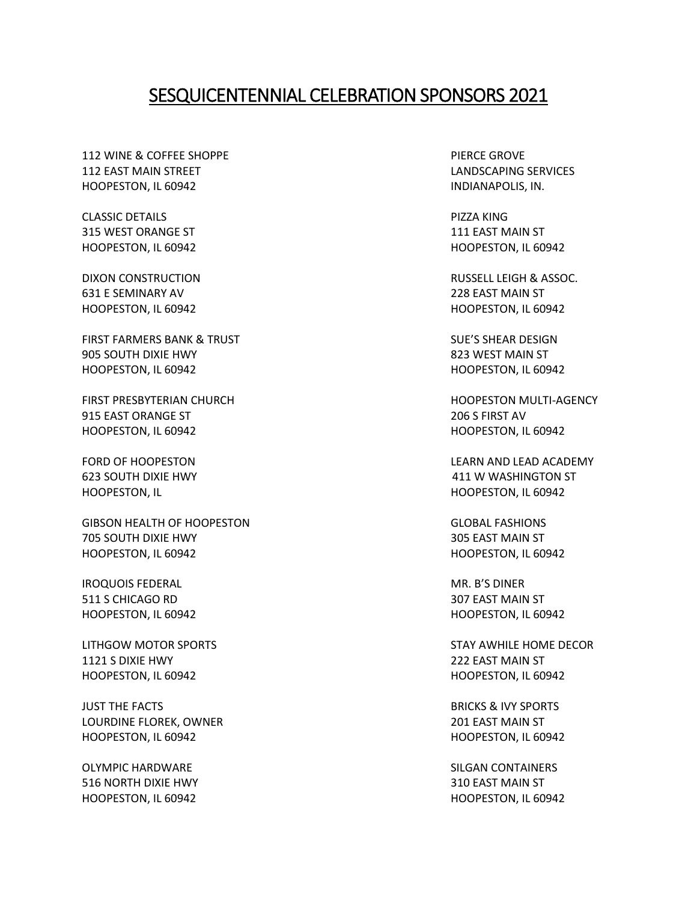## SESQUICENTENNIAL CELEBRATION SPONSORS 2021

112 WINE & COFFEE SHOPPE **PIERCE GROVE** 112 EAST MAIN STREET LANDSCAPING SERVICES HOOPESTON, IL 60942 **INDIANAPOLIS, IN. INDIANAPOLIS, IN.** 

CLASSIC DETAILS PIZZA KING 315 WEST ORANGE ST **111 EAST MAIN ST** 

631 E SEMINARY AV 228 EAST MAIN ST HOOPESTON, IL 60942 HOOPESTON, IL 60942

FIRST FARMERS BANK & TRUST SULLER SULLER SUE'S SHEAR DESIGN 905 SOUTH DIXIE HWY **823 WEST MAIN ST** HOOPESTON, IL 60942 HOOPESTON, IL 60942

FIRST PRESBYTERIAN CHURCH HOOPESTON MULTI-AGENCY 915 EAST ORANGE ST 206 S FIRST AV HOOPESTON, IL 60942 HOOPESTON, IL 60942

GIBSON HEALTH OF HOOPESTON GLOBAL FASHIONS 705 SOUTH DIXIE HWY 305 EAST MAIN ST HOOPESTON, IL 60942 HOOPESTON, IL 60942

IROQUOIS FEDERAL MR. B'S DINER 511 S CHICAGO RD 307 EAST MAIN ST HOOPESTON, IL 60942 HOOPESTON, IL 60942

1121 S DIXIE HWY 222 EAST MAIN ST HOOPESTON, IL 60942 HOOPESTON, IL 60942

JUST THE FACTS BRICKS & IVY SPORTS LOURDINE FLOREK, OWNER 201 EAST MAIN ST HOOPESTON, IL 60942 HOOPESTON, IL 60942

OLYMPIC HARDWARE SILGAN CONTAINERS 516 NORTH DIXIE HWY 310 EAST MAIN ST HOOPESTON, IL 60942 HOOPESTON, IL 60942

HOOPESTON, IL 60942 HOOPESTON, IL 60942

DIXON CONSTRUCTION RUSSELL LEIGH & ASSOC.

FORD OF HOOPESTON LEARN AND LEAD ACADEMY 623 SOUTH DIXIE HWY 411 W WASHINGTON ST HOOPESTON, IL HOOPESTON, IL 60942

LITHGOW MOTOR SPORTS STAY AWHILE HOME DECOR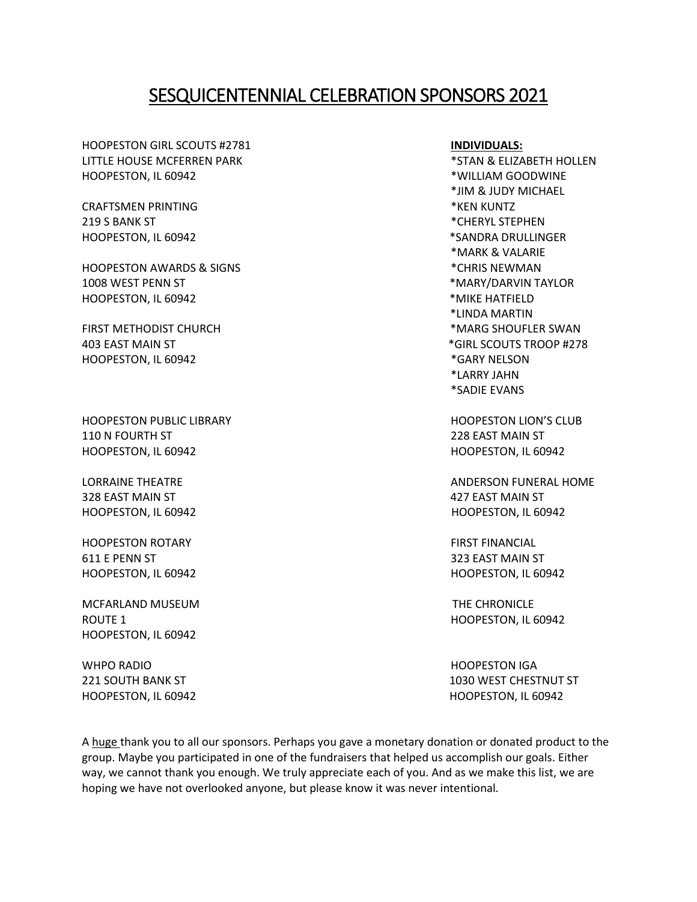## SESQUICENTENNIAL CELEBRATION SPONSORS 2021

HOOPESTON GIRL SCOUTS #2781 **INDIVIDUALS:** LITTLE HOUSE MCFERREN PARK THE SERVICE OF STAN & ELIZABETH HOLLEN HOOPESTON, IL 60942 hoopeston, in the set of the set of the set of the set of the set of the set of the set of the set of the set of the set of the set of the set of the set of the set of the set of the set of the set of t

CRAFTSMEN PRINTING \*KEN KUNTZ 219 S BANK ST THE RESERVE STEPHEN HOOPESTON, IL 60942 \*SANDRA DRULLINGER

HOOPESTON AWARDS & SIGNS \*CHRIS NEWMAN 1008 WEST PENN ST THE STATE OF THE STATE OF THE STATE OF THE STATE OF THE STATE OF THE STATE OF THE STATE OF THE STATE OF THE STATE OF THE STATE OF THE STATE OF THE STATE OF THE STATE OF THE STATE OF THE STATE OF THE STATE HOOPESTON, IL 60942 **\*MIKE HATFIELD** 

HOOPESTON, IL 60942 **\*GARY NELSON** 

HOOPESTON PUBLIC LIBRARY **HOOPESTON LION'S CLUB** 110 N FOURTH ST 228 EAST MAIN ST HOOPESTON, IL 60942 HOOPESTON, IL 60942

328 EAST MAIN ST 427 EAST MAIN ST HOOPESTON, IL 60942 HOOPESTON, IL 60942

HOOPESTON ROTARY FIRST FINANCIAL 611 E PENN ST SAN STRIKE STRIKE STRIKE STRIKE STRIKE STRIKE STRIKE STRIKE STRIKE STRIKE STRIKE STRIKE STRIKE ST HOOPESTON, IL 60942 HOOPESTON, IL 60942

MCFARLAND MUSEUM THE CHRONICLE ROUTE 1 HOOPESTON, IL 60942 HOOPESTON, IL 60942

WHPO RADIO AND THE STATE OF THE STATE OF THE STATE OF THE STATE OF THE STATE OF THE STATE OF THE STATE OF THE STATE OF THE STATE OF THE STATE OF THE STATE OF THE STATE OF THE STATE OF THE STATE OF THE STATE OF THE STATE OF HOOPESTON, IL 60942 HOOPESTON, IL 60942

\*JIM & JUDY MICHAEL \*MARK & VALARIE \*LINDA MARTIN FIRST METHODIST CHURCH THE SWAN SERVICE OF THE SWAN SHOUFLER SWAN 403 EAST MAIN ST **ALCOUTS TROOP #278** \*LARRY JAHN \*SADIE EVANS

LORRAINE THEATRE **ANDERSON FUNERAL HOME** 

221 SOUTH BANK ST 221 SOUTH BANK ST

A huge thank you to all our sponsors. Perhaps you gave a monetary donation or donated product to the group. Maybe you participated in one of the fundraisers that helped us accomplish our goals. Either way, we cannot thank you enough. We truly appreciate each of you. And as we make this list, we are hoping we have not overlooked anyone, but please know it was never intentional.